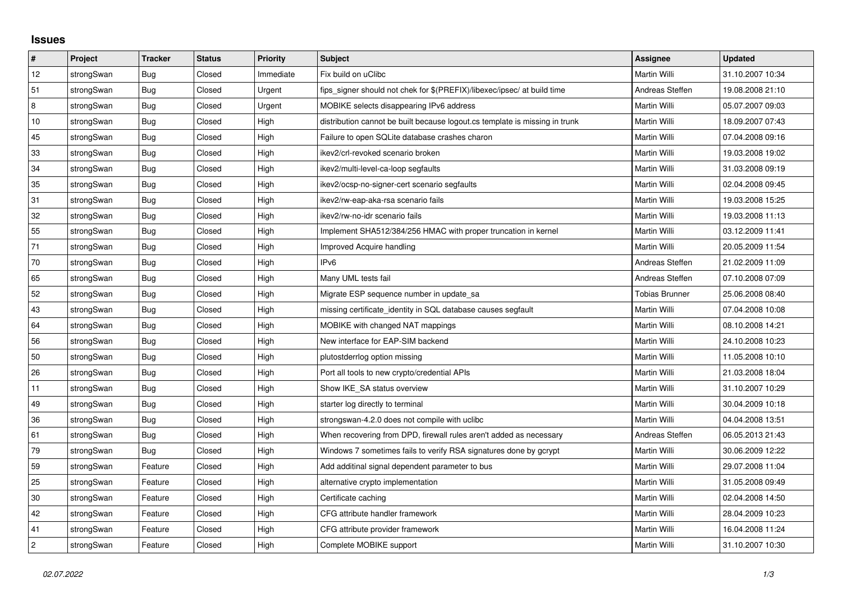## **Issues**

| $\#$           | Project    | <b>Tracker</b> | <b>Status</b> | Priority  | <b>Subject</b>                                                              | <b>Assignee</b>       | <b>Updated</b>   |
|----------------|------------|----------------|---------------|-----------|-----------------------------------------------------------------------------|-----------------------|------------------|
| 12             | strongSwan | Bug            | Closed        | Immediate | Fix build on uClibc                                                         | Martin Willi          | 31.10.2007 10:34 |
| 51             | strongSwan | <b>Bug</b>     | Closed        | Urgent    | fips signer should not chek for \$(PREFIX)/libexec/ipsec/ at build time     | Andreas Steffen       | 19.08.2008 21:10 |
| 8              | strongSwan | <b>Bug</b>     | Closed        | Urgent    | MOBIKE selects disappearing IPv6 address                                    | <b>Martin Willi</b>   | 05.07.2007 09:03 |
| 10             | strongSwan | <b>Bug</b>     | Closed        | High      | distribution cannot be built because logout.cs template is missing in trunk | Martin Willi          | 18.09.2007 07:43 |
| 45             | strongSwan | Bug            | Closed        | High      | Failure to open SQLite database crashes charon                              | Martin Willi          | 07.04.2008 09:16 |
| 33             | strongSwan | Bug            | Closed        | High      | ikev2/crl-revoked scenario broken                                           | <b>Martin Willi</b>   | 19.03.2008 19:02 |
| 34             | strongSwan | Bug            | Closed        | High      | ikev2/multi-level-ca-loop segfaults                                         | Martin Willi          | 31.03.2008 09:19 |
| 35             | strongSwan | Bug            | Closed        | High      | ikev2/ocsp-no-signer-cert scenario segfaults                                | Martin Willi          | 02.04.2008 09:45 |
| 31             | strongSwan | <b>Bug</b>     | Closed        | High      | ikev2/rw-eap-aka-rsa scenario fails                                         | Martin Willi          | 19.03.2008 15:25 |
| 32             | strongSwan | Bug            | Closed        | High      | ikev2/rw-no-idr scenario fails                                              | Martin Willi          | 19.03.2008 11:13 |
| 55             | strongSwan | Bug            | Closed        | High      | Implement SHA512/384/256 HMAC with proper truncation in kernel              | Martin Willi          | 03.12.2009 11:41 |
| 71             | strongSwan | <b>Bug</b>     | Closed        | High      | <b>Improved Acquire handling</b>                                            | Martin Willi          | 20.05.2009 11:54 |
| 70             | strongSwan | Bug            | Closed        | High      | IPv6                                                                        | Andreas Steffen       | 21.02.2009 11:09 |
| 65             | strongSwan | Bug            | Closed        | High      | Many UML tests fail                                                         | Andreas Steffen       | 07.10.2008 07:09 |
| 52             | strongSwan | Bug            | Closed        | High      | Migrate ESP sequence number in update sa                                    | <b>Tobias Brunner</b> | 25.06.2008 08:40 |
| 43             | strongSwan | Bug            | Closed        | High      | missing certificate_identity in SQL database causes segfault                | <b>Martin Willi</b>   | 07.04.2008 10:08 |
| 64             | strongSwan | <b>Bug</b>     | Closed        | High      | MOBIKE with changed NAT mappings                                            | Martin Willi          | 08.10.2008 14:21 |
| 56             | strongSwan | <b>Bug</b>     | Closed        | High      | New interface for EAP-SIM backend                                           | Martin Willi          | 24.10.2008 10:23 |
| 50             | strongSwan | <b>Bug</b>     | Closed        | High      | plutostderrlog option missing                                               | Martin Willi          | 11.05.2008 10:10 |
| 26             | strongSwan | Bug            | Closed        | High      | Port all tools to new crypto/credential APIs                                | Martin Willi          | 21.03.2008 18:04 |
| 11             | strongSwan | <b>Bug</b>     | Closed        | High      | Show IKE_SA status overview                                                 | Martin Willi          | 31.10.2007 10:29 |
| 49             | strongSwan | <b>Bug</b>     | Closed        | High      | starter log directly to terminal                                            | Martin Willi          | 30.04.2009 10:18 |
| 36             | strongSwan | Bug            | Closed        | High      | strongswan-4.2.0 does not compile with uclibe                               | Martin Willi          | 04.04.2008 13:51 |
| 61             | strongSwan | Bug            | Closed        | High      | When recovering from DPD, firewall rules aren't added as necessary          | Andreas Steffen       | 06.05.2013 21:43 |
| 79             | strongSwan | Bug            | Closed        | High      | Windows 7 sometimes fails to verify RSA signatures done by gcrypt           | Martin Willi          | 30.06.2009 12:22 |
| 59             | strongSwan | Feature        | Closed        | High      | Add additinal signal dependent parameter to bus                             | <b>Martin Willi</b>   | 29.07.2008 11:04 |
| 25             | strongSwan | Feature        | Closed        | High      | alternative crypto implementation                                           | Martin Willi          | 31.05.2008 09:49 |
| 30             | strongSwan | Feature        | Closed        | High      | Certificate caching                                                         | Martin Willi          | 02.04.2008 14:50 |
| 42             | strongSwan | Feature        | Closed        | High      | CFG attribute handler framework                                             | Martin Willi          | 28.04.2009 10:23 |
| 41             | strongSwan | Feature        | Closed        | High      | CFG attribute provider framework                                            | Martin Willi          | 16.04.2008 11:24 |
| $\overline{c}$ | strongSwan | Feature        | Closed        | High      | Complete MOBIKE support                                                     | Martin Willi          | 31.10.2007 10:30 |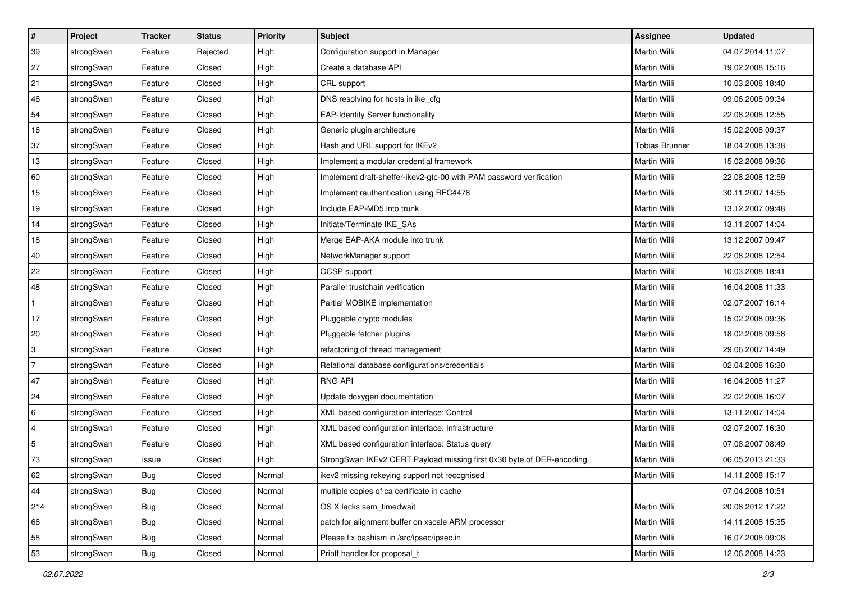| $\vert$ #      | Project    | <b>Tracker</b> | <b>Status</b> | <b>Priority</b> | <b>Subject</b>                                                         | Assignee              | <b>Updated</b>   |
|----------------|------------|----------------|---------------|-----------------|------------------------------------------------------------------------|-----------------------|------------------|
| 39             | strongSwan | Feature        | Rejected      | High            | Configuration support in Manager                                       | Martin Willi          | 04.07.2014 11:07 |
| 27             | strongSwan | Feature        | Closed        | High            | Create a database API                                                  | <b>Martin Willi</b>   | 19.02.2008 15:16 |
| 21             | strongSwan | Feature        | Closed        | High            | CRL support                                                            | Martin Willi          | 10.03.2008 18:40 |
| 46             | strongSwan | Feature        | Closed        | High            | DNS resolving for hosts in ike_cfg                                     | Martin Willi          | 09.06.2008 09:34 |
| 54             | strongSwan | Feature        | Closed        | High            | <b>EAP-Identity Server functionality</b>                               | Martin Willi          | 22.08.2008 12:55 |
| 16             | strongSwan | Feature        | Closed        | High            | Generic plugin architecture                                            | Martin Willi          | 15.02.2008 09:37 |
| 37             | strongSwan | Feature        | Closed        | High            | Hash and URL support for IKEv2                                         | <b>Tobias Brunner</b> | 18.04.2008 13:38 |
| 13             | strongSwan | Feature        | Closed        | High            | Implement a modular credential framework                               | Martin Willi          | 15.02.2008 09:36 |
| 60             | strongSwan | Feature        | Closed        | High            | Implement draft-sheffer-ikev2-gtc-00 with PAM password verification    | Martin Willi          | 22.08.2008 12:59 |
| 15             | strongSwan | Feature        | Closed        | High            | Implement rauthentication using RFC4478                                | Martin Willi          | 30.11.2007 14:55 |
| 19             | strongSwan | Feature        | Closed        | High            | Include EAP-MD5 into trunk                                             | Martin Willi          | 13.12.2007 09:48 |
| 14             | strongSwan | Feature        | Closed        | High            | Initiate/Terminate IKE_SAs                                             | Martin Willi          | 13.11.2007 14:04 |
| 18             | strongSwan | Feature        | Closed        | High            | Merge EAP-AKA module into trunk                                        | <b>Martin Willi</b>   | 13.12.2007 09:47 |
| 40             | strongSwan | Feature        | Closed        | High            | NetworkManager support                                                 | Martin Willi          | 22.08.2008 12:54 |
| 22             | strongSwan | Feature        | Closed        | High            | OCSP support                                                           | <b>Martin Willi</b>   | 10.03.2008 18:41 |
| 48             | strongSwan | Feature        | Closed        | High            | Parallel trustchain verification                                       | Martin Willi          | 16.04.2008 11:33 |
| $\mathbf{1}$   | strongSwan | Feature        | Closed        | High            | Partial MOBIKE implementation                                          | <b>Martin Willi</b>   | 02.07.2007 16:14 |
| 17             | strongSwan | Feature        | Closed        | High            | Pluggable crypto modules                                               | Martin Willi          | 15.02.2008 09:36 |
| 20             | strongSwan | Feature        | Closed        | High            | Pluggable fetcher plugins                                              | Martin Willi          | 18.02.2008 09:58 |
| 3              | strongSwan | Feature        | Closed        | High            | refactoring of thread management                                       | Martin Willi          | 29.06.2007 14:49 |
| 7              | strongSwan | Feature        | Closed        | High            | Relational database configurations/credentials                         | Martin Willi          | 02.04.2008 16:30 |
| 47             | strongSwan | Feature        | Closed        | High            | <b>RNG API</b>                                                         | Martin Willi          | 16.04.2008 11:27 |
| 24             | strongSwan | Feature        | Closed        | High            | Update doxygen documentation                                           | Martin Willi          | 22.02.2008 16:07 |
| 6              | strongSwan | Feature        | Closed        | High            | XML based configuration interface: Control                             | Martin Willi          | 13.11.2007 14:04 |
| $\overline{4}$ | strongSwan | Feature        | Closed        | High            | XML based configuration interface: Infrastructure                      | Martin Willi          | 02.07.2007 16:30 |
| 5              | strongSwan | Feature        | Closed        | High            | XML based configuration interface: Status query                        | Martin Willi          | 07.08.2007 08:49 |
| 73             | strongSwan | Issue          | Closed        | High            | StrongSwan IKEv2 CERT Payload missing first 0x30 byte of DER-encoding. | Martin Willi          | 06.05.2013 21:33 |
| 62             | strongSwan | i Bug          | Closed        | Normal          | ikev2 missing rekeying support not recognised                          | Martin Willi          | 14.11.2008 15:17 |
| 44             | strongSwan | Bug            | Closed        | Normal          | multiple copies of ca certificate in cache                             |                       | 07.04.2008 10:51 |
| 214            | strongSwan | Bug            | Closed        | Normal          | OS X lacks sem_timedwait                                               | Martin Willi          | 20.08.2012 17:22 |
| 66             | strongSwan | Bug            | Closed        | Normal          | patch for alignment buffer on xscale ARM processor                     | Martin Willi          | 14.11.2008 15:35 |
| 58             | strongSwan | Bug            | Closed        | Normal          | Please fix bashism in /src/ipsec/ipsec.in                              | Martin Willi          | 16.07.2008 09:08 |
| 53             | strongSwan | Bug            | Closed        | Normal          | Printf handler for proposal_t                                          | Martin Willi          | 12.06.2008 14:23 |